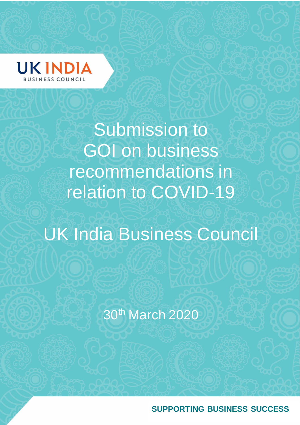

Submission to GOI on business recommendations in relation to COVID-19

# UK India Business Council

30th March 2020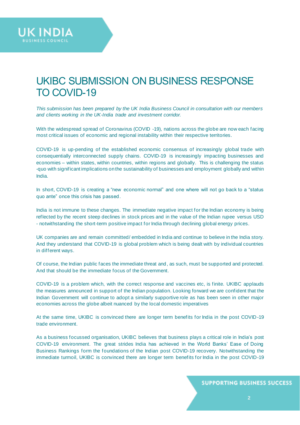

# UKIBC SUBMISSION ON BUSINESS RESPONSE TO COVID-19

*This submission has been prepared by the UK India Business Council in consultation with our members and clients working in the UK-India trade and investment corridor.*

With the widespread spread of Coronavirus (COVID -19), nations across the globe are now each facing most critical issues of economic and regional instability within their respective territories.

COVID-19 is up-pending of the established economic consensus of increasingly global trade with consequentially interconnected supply chains. COVID-19 is increasingly impacting businesses and economies – within states, within countries, within regions and globally. This is challenging the status -quo with significant implications on the sustainability of businesses and employment globally and within India.

In short, COVID-19 is creating a "new economic normal" and one where will not go back to a "status quo ante" once this crisis has passed.

India is not immune to these changes. The immediate negative impact for the Indian economy is being reflected by the recent steep declines in stock prices and in the value of the Indian rupee versus USD - notwithstanding the short-term positive impact for India through declining global energy prices.

UK companies are and remain committed/ embedded in India and continue to believe in the India story. And they understand that COVID-19 is global problem which is being dealt with by individual countries in different ways.

Of course, the Indian public faces the immediate threat and, as such, must be supported and protected. And that should be the immediate focus of the Government.

COVID-19 is a problem which, with the correct response and vaccines etc, is finite. UKIBC applauds the measures announced in support of the Indian population. Looking forward we are confident that the Indian Government will continue to adopt a similarly supportive role as has been seen in other major economies across the globe albeit nuanced by the local domestic imperatives

At the same time, UKIBC is convinced there are longer term benefits for India in the post COVID -19 trade environment.

As a business focussed organisation, UKIBC believes that business plays a critical role in India's post COVID-19 environment. The great strides India has achieved in the World Banks' Ease of Doing Business Rankings form the foundations of the Indian post COVID-19 recovery. Notwithstanding the immediate turmoil, UKIBC is convinced there are longer term benefits for India in the post COVID-19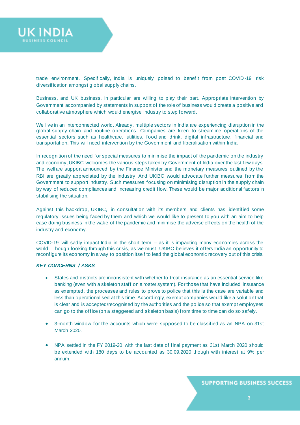

trade environment. Specifically, India is uniquely poised to benefit from post COVID -19 risk diversification amongst global supply chains.

Business, and UK business, in particular are willing to play their part. Appropriate intervention by Government accompanied by statements in support of the role of business would create a positive and collaborative atmosphere which would energise industry to step forward.

We live in an interconnected world. Already, multiple sectors in India are experiencing disruption in the global supply chain and routine operations. Companies are keen to streamline operations of the essential sectors such as healthcare, utilities, food and drink, digital infrastructure, financial and transportation. This will need intervention by the Government and liberalisation within India.

In recognition of the need for special measures to minimise the impact of the pandemic on the industry and economy, UKIBC welcomes the various steps taken by Government of India over the last few days. The welfare support announced by the Finance Minister and the monetary measures outlined by the RBI are greatly appreciated by the industry. And UKIBC would advocate further measures from the Government to support industry. Such measures focusing on minimising disruption in the supply chain by way of reduced compliances and increasing credit flow. These would be major additional factors in stabilising the situation.

Against this backdrop, UKIBC, in consultation with its members and clients has identified some regulatory issues being faced by them and which we would like to present to you with an aim to help ease doing business in the wake of the pandemic and minimise the adverse effects on the health of the industry and economy.

COVID-19 will sadly impact India in the short term – as it is impacting many economies across the world. Though looking through this crisis, as we must, UKIBC believes it offers India an opportunity to reconfigure its economy in a way to position itself to lead the global economic recovery out of this crisis.

#### *KEY CONCERNS / ASKS*

- States and districts are inconsistent with whether to treat insurance as an essential service like banking (even with a skeleton staff on a roster system). For those that have included insurance as exempted, the processes and rules to prove to police that this is the case are variable and less than operationalised at this time. Accordingly, exempt companies would like a solution that is clear and is accepted/recognised by the authorities and the police so that exempt employees can go to the office (on a staggered and skeleton basis) from time to time can do so safely.
- 3-month window for the accounts which were supposed to be classified as an NPA on 31st March 2020.
- NPA settled in the FY 2019-20 with the last date of final payment as 31st March 2020 should be extended with 180 days to be accounted as 30.09.2020 though with interest at 9% per annum.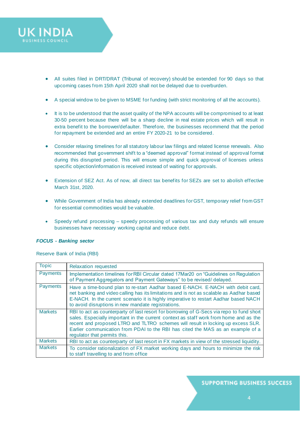

- All suites filed in DRT/DRAT (Tribunal of recovery) should be extended for 90 days so that upcoming cases from 15th April 2020 shall not be delayed due to overburden.
- A special window to be given to MSME for funding (with strict monitoring of all the accounts).
- It is to be understood that the asset quality of the NPA accounts will be compromised to at least 30-50 percent because there will be a sharp decline in real estate prices which will result in extra benefit to the borrower/defaulter. Therefore, the businesses recommend that the period for repayment be extended and an entire FY 2020-21 to be considered.
- Consider relaxing timelines for all statutory labour law filings and related license renewals. Also recommended that government shift to a "deemed approval" format instead of approval format during this disrupted period. This will ensure simple and quick approval of licenses unless specific objection/information is received instead of waiting for approvals.
- Extension of SEZ Act. As of now, all direct tax benefits for SEZs are set to abolish effective March 31st, 2020.
- While Government of India has already extended deadlines for GST, temporary relief from GST for essential commodities would be valuable.
- Speedy refund processing speedy processing of various tax and duty refunds will ensure businesses have necessary working capital and reduce debt.

#### *FOCUS - Banking sector*

Reserve Bank of India (RBI)

| <b>Topic</b>    | Relaxation requested                                                                                                                                                                                                                                                                                                                                                                     |
|-----------------|------------------------------------------------------------------------------------------------------------------------------------------------------------------------------------------------------------------------------------------------------------------------------------------------------------------------------------------------------------------------------------------|
| <b>Payments</b> | Implementation timelines for RBI Circular dated 17Mar20 on "Guidelines on Regulation"<br>of Payment Aggregators and Payment Gateways" to be revised/delayed.                                                                                                                                                                                                                             |
| <b>Payments</b> | Have a time-bound plan to re-start Aadhar based E-NACH. E-NACH with debit card,<br>net banking and video calling has its limitations and is not as scalable as Aadhar based<br>E-NACH. In the current scenario it is highly imperative to restart Aadhar based NACH<br>to avoid disruptions in new mandate registrations.                                                                |
| <b>Markets</b>  | RBI to act as counterparty of last resort for borrowing of G-Secs via repo to fund short<br>sales. Especially important in the current context as staff work from home and as the<br>recent and proposed LTRO and TLTRO schemes will result in locking up excess SLR.<br>Earlier communication from PDAI to the RBI has cited the MAS as an example of a<br>regulator that permits this. |
| <b>Markets</b>  | RBI to act as counterparty of last resort in FX markets in view of the stressed liquidity.                                                                                                                                                                                                                                                                                               |
| <b>Markets</b>  | To consider rationalization of FX market working days and hours to minimize the risk<br>to staff travelling to and from office                                                                                                                                                                                                                                                           |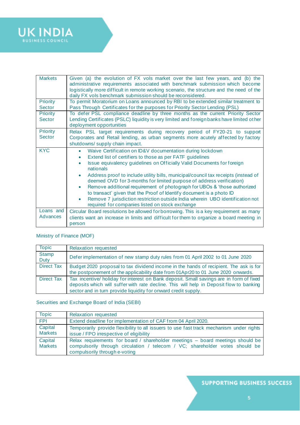

| <b>Markets</b><br>Priority | Given (a) the evolution of FX vols market over the last few years, and (b) the<br>administrative requirements associated with benchmark submission which become<br>logistically more difficult in remote working scenario, the structure and the need of the<br>daily FX vols benchmark submission should be reconsidered.<br>To permit Moratorium on Loans announced by RBI to be extended similar treatment to                                                                                                                                                                                                                                                                                                                           |
|----------------------------|--------------------------------------------------------------------------------------------------------------------------------------------------------------------------------------------------------------------------------------------------------------------------------------------------------------------------------------------------------------------------------------------------------------------------------------------------------------------------------------------------------------------------------------------------------------------------------------------------------------------------------------------------------------------------------------------------------------------------------------------|
| Sector                     | Pass Through Certificates for the purposes for Priority Sector Lending (PSL)                                                                                                                                                                                                                                                                                                                                                                                                                                                                                                                                                                                                                                                               |
| Priority<br><b>Sector</b>  | To defer PSL compliance deadline by three months as the current Priority Sector<br>Lending Certificates (PSLC) liquidity is very limited and foreign banks have limited other<br>deployment opportunities                                                                                                                                                                                                                                                                                                                                                                                                                                                                                                                                  |
| <b>Priority</b><br>Sector  | Relax PSL target requirements during recovery period of FY20-21 to support<br>Corporates and Retail lending, as urban segments more acutely affected by factory<br>shutdowns/ supply chain impact.                                                                                                                                                                                                                                                                                                                                                                                                                                                                                                                                         |
| <b>KYC</b>                 | Waive Certification on ID&V documentation during lockdown<br>$\bullet$<br>Extend list of certifiers to those as per FATF guidelines<br>۰<br>Issue equivalency guidelines on Officially Valid Documents for foreign<br>$\bullet$<br>nationals<br>Address proof to include utility bills, municipal/council tax receipts (instead of<br>$\bullet$<br>deemed OVD for 3-months for limited purpose of address verification)<br>Remove additional requirement of photograph for UBOs & 'those authorized<br>$\bullet$<br>to transact' given that the Proof of Identify document is a photo ID<br>Remove 7 jurisdiction restriction outside India wherein UBO identification not<br>$\bullet$<br>required for companies listed on stock exchange |
| Loans and<br>Advances      | Circular Board resolutions be allowed for borrowing. This is a key requirement as many<br>clients want an increase in limits and difficult for them to organize a board meeting in<br>person                                                                                                                                                                                                                                                                                                                                                                                                                                                                                                                                               |

## Ministry of Finance (MOF)

| <b>Topic</b>         | Relaxation requested                                                                                                                                                                                                                                 |
|----------------------|------------------------------------------------------------------------------------------------------------------------------------------------------------------------------------------------------------------------------------------------------|
| <b>Stamp</b><br>Duty | Defer implementation of new stamp duty rules from 01 April 2002 to 01 June 2020                                                                                                                                                                      |
| <b>Direct Tax</b>    | Budget 2020 proposal to tax dividend income in the hands of recipient. The ask is for<br>the postponement of the applicability date from 01Apr20 to 01 June 2020 onwards.                                                                            |
| <b>Direct Tax</b>    | Tax incentive/ holiday for interest on Bank deposit. Small savings are in form of fixed<br>deposits which will suffer with rate decline. This will help in Deposit flow to banking<br>sector and in turn provide liquidity for onward credit supply. |

## Securities and Exchange Board of India (SEBI)

| <b>Topic</b>              | <b>Relaxation requested</b>                                                                                                                                                                     |
|---------------------------|-------------------------------------------------------------------------------------------------------------------------------------------------------------------------------------------------|
| <b>FPI</b>                | Extend deadline for implementation of CAF from 04 April 2020.                                                                                                                                   |
| Capital<br><b>Markets</b> | Temporarily provide flexibility to all issuers to use fast track mechanism under rights<br>issue / FPO irrespective of eligibility                                                              |
| Capital<br><b>Markets</b> | Relax requirements for board / shareholder meetings - board meetings should be<br>compulsorily through circulation / telecom / VC; shareholder votes should be<br>compulsorily through e-voting |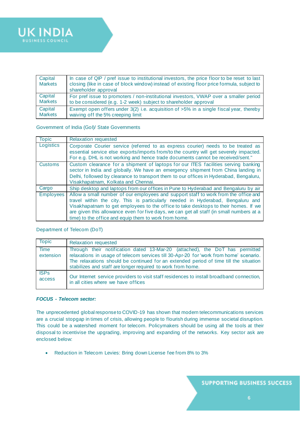

| Capital<br><b>Markets</b> | In case of QIP / pref issue to institutional investors, the price floor to be reset to last<br>closing (like in case of block window) instead of existing floor price formula, subject to<br>shareholder approval |
|---------------------------|-------------------------------------------------------------------------------------------------------------------------------------------------------------------------------------------------------------------|
| Capital                   | For pref issue to promoters / non-institutional investors, VWAP over a smaller period                                                                                                                             |
| <b>Markets</b>            | to be considered (e.g. 1-2 week) subject to shareholder approval                                                                                                                                                  |
| Capital                   | Exempt open offers under $3(2)$ i.e. acquisition of $>5\%$ in a single fiscal year, thereby                                                                                                                       |
| <b>Markets</b>            | waiving off the 5% creeping limit                                                                                                                                                                                 |

#### Government of India (GoI)/ State Governments

| <b>Topic</b>     | Relaxation requested                                                                                                                                                                                                                                                                                                                                                                                               |
|------------------|--------------------------------------------------------------------------------------------------------------------------------------------------------------------------------------------------------------------------------------------------------------------------------------------------------------------------------------------------------------------------------------------------------------------|
| Logistics        | Corporate Courier service (referred to as express courier) needs to be treated as<br>essential service else exports/imports from/to the country will get severely impacted.<br>For e.g. DHL is not working and hence trade documents cannot be received/sent."                                                                                                                                                     |
| <b>Customs</b>   | Custom clearance for a shipment of laptops for our ITES facilities serving banking<br>sector in India and globally. We have an emergency shipment from China landing in<br>Delhi, followed by clearance to transport them to our offices in Hyderabad, Bengaluru,<br>Visakhapatnam, Kolkata and Chennai.                                                                                                           |
| Cargo            | Ship desktop and laptops from our offices in Pune to Hyderabad and Bengaluru by air                                                                                                                                                                                                                                                                                                                                |
| <b>Employees</b> | Allow a small number of our employees and support staff to work from the office and<br>travel within the city. This is particularly needed in Hyderabad, Bengaluru and<br>Visakhapatnam to get employees to the office to take desktops to their homes. If we<br>are given this allowance even for five days, we can get all staff (in small numbers at a<br>time) to the office and equip them to work from home. |

#### Department of Telecom (DoT)

| <b>Topic</b>             | Relaxation requested                                                                                                                                                                                                                                                                                                           |
|--------------------------|--------------------------------------------------------------------------------------------------------------------------------------------------------------------------------------------------------------------------------------------------------------------------------------------------------------------------------|
| <b>Time</b><br>extension | Through their notification dated 13-Mar-20 (attached), the DoT has permitted<br>relaxations in usage of telecom services till 30-Apr-20 for 'work from home' scenario.<br>The relaxations should be continued for an extended period of time till the situation<br>stabilizes and staff are longer required to work from home. |
| <b>ISPs</b><br>access    | Our Internet service providers to visit staff residences to install broadband connection,<br>in all cities where we have offices                                                                                                                                                                                               |

#### *FOCUS - Telecom sector:*

The unprecedented global response to COVID-19 has shown that modern telecommunications services are a crucial stopgap in times of crisis, allowing people to flourish during immense societal disruption. This could be a watershed moment for telecom. Policymakers should be using all the tools at their disposal to incentivise the upgrading, improving and expanding of the networks. Key sector ask are enclosed below:

• Reduction in Telecom Levies: Bring down License fee from 8% to 3%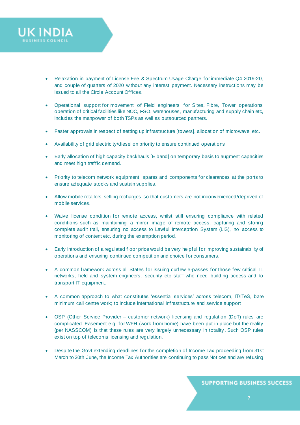

- Operational support for movement of Field engineers for Sites, Fibre, Tower operations, operation of critical facilities like NOC, FSO, warehouses, manufacturing and supply chain etc, includes the manpower of both TSPs as well as outsourced partners.
- Faster approvals in respect of setting up infrastructure [towers], allocation of microwave, etc.
- Availability of grid electricity/diesel on priority to ensure continued operations

**UK INDIA** 

- Early allocation of high capacity backhauls [E band] on temporary basis to augment capacities and meet high traffic demand.
- Priority to telecom network equipment, spares and components for clearances at the ports to ensure adequate stocks and sustain supplies.
- Allow mobile retailers selling recharges so that customers are not inconvenienced/deprived of mobile services.
- Waive license condition for remote access, whilst still ensuring compliance with related conditions such as maintaining a mirror image of remote access, capturing and storing complete audit trail, ensuring no access to Lawful Interception System (LIS), no access to monitoring of content etc. during the exemption period.
- Early introduction of a regulated floor price would be very helpful for improving sustainability of operations and ensuring continued competition and choice for consumers.
- A common framework across all States for issuing curfew e-passes for those few critical IT, networks, field and system engineers, security etc staff who need building access and to transport IT equipment.
- A common approach to what constitutes 'essential services' across telecom, IT/ITeS, bare minimum call centre work; to include international infrastructure and service support
- OSP (Other Service Provider customer network) licensing and regulation (DoT) rules are complicated. Easement e.g. for WFH (work from home) have been put in place but the reality (per NASSCOM) is that these rules are very largely unnecessary in totality . Such OSP rules exist on top of telecoms licensing and regulation.
- Despite the Govt extending deadlines for the completion of Income Tax proceeding [from 31st](outlook-data-detector://0/)  [March to 30th June,](outlook-data-detector://0/) the Income Tax Authorities are continuing to pass Notices and are refusing